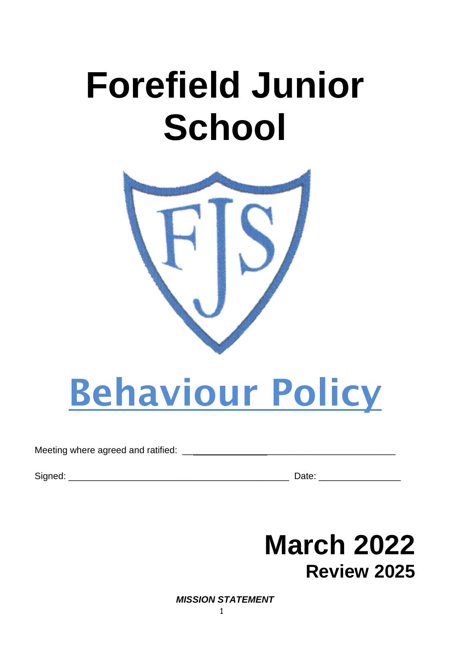## **Forefield Junior School**



# **Behaviour Policy**

#### Meeting where agreed and ratified:

Signed: <u>Date:</u> 2000 and 2000 and 2000 and 2000 and 2000 and 2000 and 2000 and 2000 and 2000 and 2000 and 2000 and 2000 and 2000 and 2000 and 2000 and 2000 and 2000 and 2000 and 2000 and 2000 and 2000 and 2000 and 2000 and

## **March 2022 Review 2025**

*MISSION STATEMENT*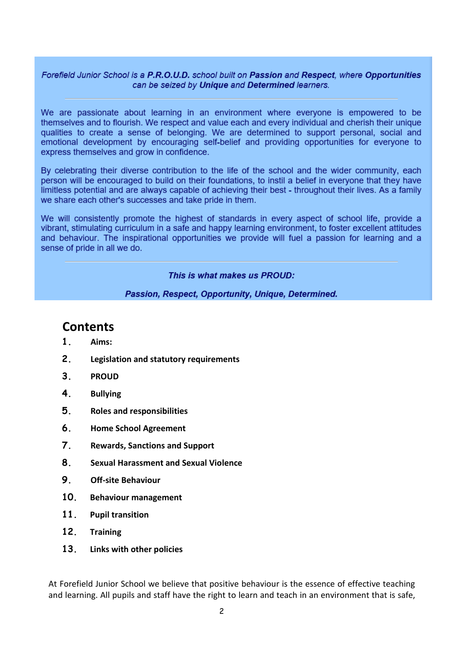#### Forefield Junior School is a P.R.O.U.D. school built on Passion and Respect, where Opportunities can be seized by Unique and Determined learners.

We are passionate about learning in an environment where everyone is empowered to be themselves and to flourish. We respect and value each and every individual and cherish their unique qualities to create a sense of belonging. We are determined to support personal, social and emotional development by encouraging self-belief and providing opportunities for everyone to express themselves and grow in confidence.

By celebrating their diverse contribution to the life of the school and the wider community, each person will be encouraged to build on their foundations, to instil a belief in everyone that they have limitless potential and are always capable of achieving their best - throughout their lives. As a family we share each other's successes and take pride in them.

We will consistently promote the highest of standards in every aspect of school life, provide a vibrant, stimulating curriculum in a safe and happy learning environment, to foster excellent attitudes and behaviour. The inspirational opportunities we provide will fuel a passion for learning and a sense of pride in all we do.

#### This is what makes us PROUD:

Passion, Respect, Opportunity, Unique, Determined.

## **Contents**

- **1. Aims:**
- **2. Legislation and statutory requirements**
- **3. PROUD**
- **4. Bullying**
- **5. Roles and responsibilities**
- **6. Home School Agreement**
- **7. Rewards, Sanctions and Support**
- **8. Sexual Harassment and Sexual Violence**
- **9. Off-site Behaviour**
- **10. Behaviour management**
- **11. Pupil transition**
- **12. Training**
- **13. Links with other policies**

At Forefield Junior School we believe that positive behaviour is the essence of effective teaching and learning. All pupils and staff have the right to learn and teach in an environment that is safe,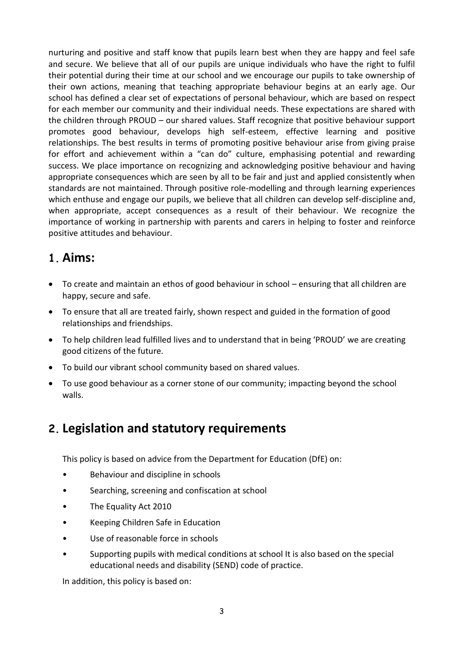nurturing and positive and staff know that pupils learn best when they are happy and feel safe and secure. We believe that all of our pupils are unique individuals who have the right to fulfil their potential during their time at our school and we encourage our pupils to take ownership of their own actions, meaning that teaching appropriate behaviour begins at an early age. Our school has defined a clear set of expectations of personal behaviour, which are based on respect for each member our community and their individual needs. These expectations are shared with the children through PROUD – our shared values. Staff recognize that positive behaviour support promotes good behaviour, develops high self-esteem, effective learning and positive relationships. The best results in terms of promoting positive behaviour arise from giving praise for effort and achievement within a "can do" culture, emphasising potential and rewarding success. We place importance on recognizing and acknowledging positive behaviour and having appropriate consequences which are seen by all to be fair and just and applied consistently when standards are not maintained. Through positive role-modelling and through learning experiences which enthuse and engage our pupils, we believe that all children can develop self-discipline and, when appropriate, accept consequences as a result of their behaviour. We recognize the importance of working in partnership with parents and carers in helping to foster and reinforce positive attitudes and behaviour.

## **1. Aims:**

- To create and maintain an ethos of good behaviour in school ensuring that all children are happy, secure and safe.
- To ensure that all are treated fairly, shown respect and guided in the formation of good relationships and friendships.
- To help children lead fulfilled lives and to understand that in being 'PROUD' we are creating good citizens of the future.
- To build our vibrant school community based on shared values.
- To use good behaviour as a corner stone of our community; impacting beyond the school walls.

## **2. Legislation and statutory requirements**

This policy is based on advice from the Department for Education (DfE) on:

- Behaviour and discipline in schools
- Searching, screening and confiscation at school
- The Equality Act 2010
- Keeping Children Safe in Education
- Use of reasonable force in schools
- Supporting pupils with medical conditions at school It is also based on the special educational needs and disability (SEND) code of practice.

In addition, this policy is based on: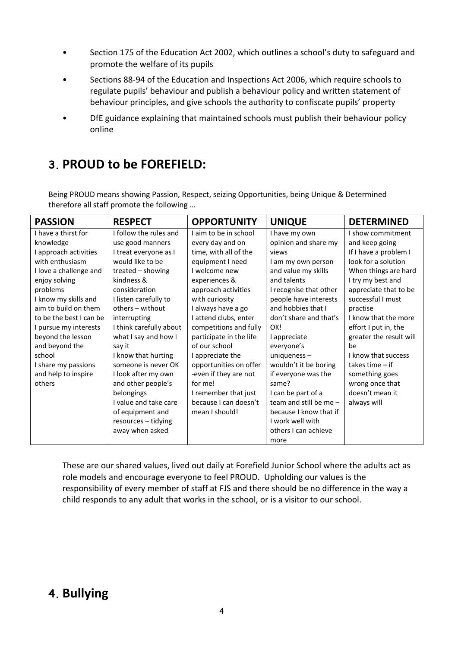- Section 175 of the Education Act 2002, which outlines a school's duty to safeguard and promote the welfare of its pupils
- Sections 88-94 of the Education and Inspections Act 2006, which require schools to regulate pupils' behaviour and publish a behaviour policy and written statement of behaviour principles, and give schools the authority to confiscate pupils' property
- DfE guidance explaining that maintained schools must publish their behaviour policy online

## **3. PROUD to be FOREFIELD:**

Being PROUD means showing Passion, Respect, seizing Opportunities, being Unique & Determined therefore all staff promote the following …

| <b>PASSION</b>          | <b>RESPECT</b>          | <b>OPPORTUNITY</b>      | <b>UNIQUE</b>          | <b>DETERMINED</b>       |
|-------------------------|-------------------------|-------------------------|------------------------|-------------------------|
| I have a thirst for     | I follow the rules and  | I aim to be in school   | I have my own          | I show commitment       |
| knowledge               | use good manners        | every day and on        | opinion and share my   | and keep going          |
| I approach activities   | I treat everyone as I   | time, with all of the   | views                  | If I have a problem I   |
| with enthusiasm         | would like to be        | equipment I need        | I am my own person     | look for a solution     |
| I love a challenge and  | treated - showing       | I welcome new           | and value my skills    | When things are hard    |
| enjoy solving           | kindness &              | experiences &           | and talents            | I try my best and       |
| problems                | consideration           | approach activities     | I recognise that other | appreciate that to be   |
| I know my skills and    | I listen carefully to   | with curiosity          | people have interests  | successful I must       |
| aim to build on them    | others - without        | I always have a go      | and hobbies that I     | practise                |
| to be the best I can be | interrupting            | I attend clubs, enter   | don't share and that's | I know that the more    |
| I pursue my interests   | I think carefully about | competitions and fully  | OK!                    | effort I put in, the    |
| beyond the lesson       | what I say and how I    | participate in the life | I appreciate           | greater the result will |
| and beyond the          | say it                  | of our school           | everyone's             | be                      |
| school                  | I know that hurting     | I appreciate the        | uniqueness $-$         | I know that success     |
| I share my passions     | someone is never OK     | opportunities on offer  | wouldn't it be boring  | takes time $-$ if       |
| and help to inspire     | I look after my own     | -even if they are not   | if everyone was the    | something goes          |
| others                  | and other people's      | for me!                 | same?                  | wrong once that         |
|                         | belongings              | I remember that just    | I can be part of a     | doesn't mean it         |
|                         | I value and take care   | because I can doesn't   | team and still be me - | always will             |
|                         | of equipment and        | mean I should!          | because I know that if |                         |
|                         | resources - tidying     |                         | I work well with       |                         |
|                         | away when asked         |                         | others I can achieve   |                         |
|                         |                         |                         | more                   |                         |

These are our shared values, lived out daily at Forefield Junior School where the adults act as role models and encourage everyone to feel PROUD. Upholding our values is the responsibility of every member of staff at FJS and there should be no difference in the way a child responds to any adult that works in the school, or is a visitor to our school.

## **4. Bullying**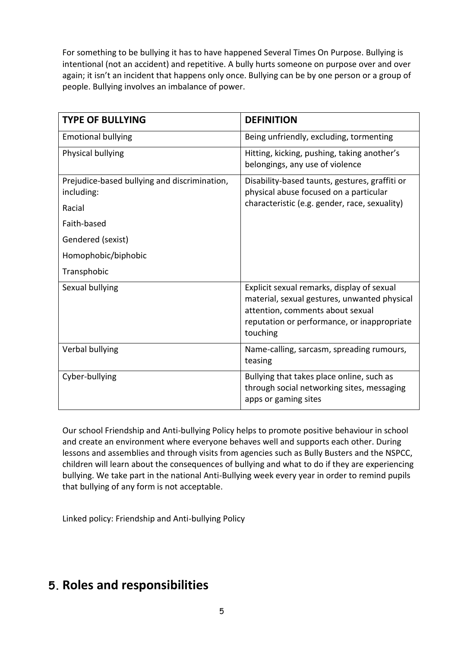For something to be bullying it has to have happened Several Times On Purpose. Bullying is intentional (not an accident) and repetitive. A bully hurts someone on purpose over and over again; it isn't an incident that happens only once. Bullying can be by one person or a group of people. Bullying involves an imbalance of power.

| <b>TYPE OF BULLYING</b>                                    | <b>DEFINITION</b>                                                                                                                                                                         |
|------------------------------------------------------------|-------------------------------------------------------------------------------------------------------------------------------------------------------------------------------------------|
| <b>Emotional bullying</b>                                  | Being unfriendly, excluding, tormenting                                                                                                                                                   |
| Physical bullying                                          | Hitting, kicking, pushing, taking another's<br>belongings, any use of violence                                                                                                            |
| Prejudice-based bullying and discrimination,<br>including: | Disability-based taunts, gestures, graffiti or<br>physical abuse focused on a particular<br>characteristic (e.g. gender, race, sexuality)                                                 |
| Racial                                                     |                                                                                                                                                                                           |
| Faith-based                                                |                                                                                                                                                                                           |
| Gendered (sexist)                                          |                                                                                                                                                                                           |
| Homophobic/biphobic                                        |                                                                                                                                                                                           |
| Transphobic                                                |                                                                                                                                                                                           |
| Sexual bullying                                            | Explicit sexual remarks, display of sexual<br>material, sexual gestures, unwanted physical<br>attention, comments about sexual<br>reputation or performance, or inappropriate<br>touching |
| Verbal bullying                                            | Name-calling, sarcasm, spreading rumours,<br>teasing                                                                                                                                      |
| Cyber-bullying                                             | Bullying that takes place online, such as<br>through social networking sites, messaging<br>apps or gaming sites                                                                           |

Our school Friendship and Anti-bullying Policy helps to promote positive behaviour in school and create an environment where everyone behaves well and supports each other. During lessons and assemblies and through visits from agencies such as Bully Busters and the NSPCC, children will learn about the consequences of bullying and what to do if they are experiencing bullying. We take part in the national Anti-Bullying week every year in order to remind pupils that bullying of any form is not acceptable.

Linked policy: Friendship and Anti-bullying Policy

## **5. Roles and responsibilities**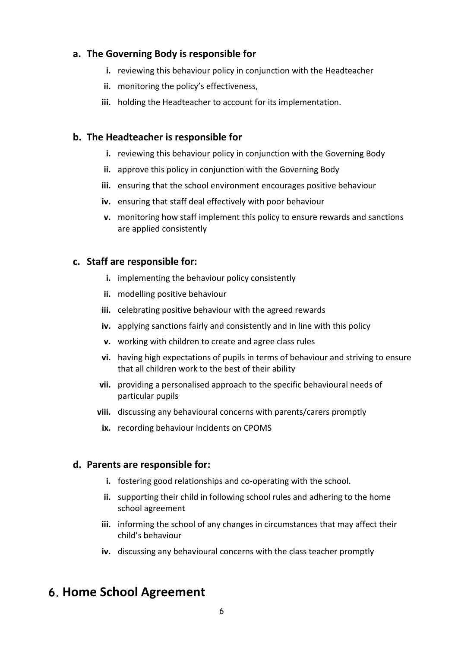#### **a. The Governing Body is responsible for**

- **i.** reviewing this behaviour policy in conjunction with the Headteacher
- **ii.** monitoring the policy's effectiveness,
- **iii.** holding the Headteacher to account for its implementation.

#### **b. The Headteacher is responsible for**

- **i.** reviewing this behaviour policy in conjunction with the Governing Body
- **ii.** approve this policy in conjunction with the Governing Body
- **iii.** ensuring that the school environment encourages positive behaviour
- **iv.** ensuring that staff deal effectively with poor behaviour
- **v.** monitoring how staff implement this policy to ensure rewards and sanctions are applied consistently

#### **c. Staff are responsible for:**

- **i.** implementing the behaviour policy consistently
- **ii.** modelling positive behaviour
- **iii.** celebrating positive behaviour with the agreed rewards
- **iv.** applying sanctions fairly and consistently and in line with this policy
- **v.** working with children to create and agree class rules
- **vi.** having high expectations of pupils in terms of behaviour and striving to ensure that all children work to the best of their ability
- **vii.** providing a personalised approach to the specific behavioural needs of particular pupils
- **viii.** discussing any behavioural concerns with parents/carers promptly
	- **ix.** recording behaviour incidents on CPOMS

#### **d. Parents are responsible for:**

- **i.** fostering good relationships and co-operating with the school.
- **ii.** supporting their child in following school rules and adhering to the home school agreement
- **iii.** informing the school of any changes in circumstances that may affect their child's behaviour
- **iv.** discussing any behavioural concerns with the class teacher promptly

## **6. Home School Agreement**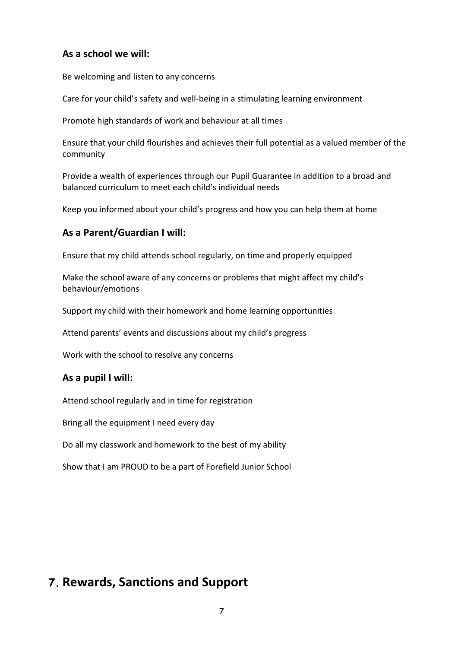#### **As a school we will:**

Be welcoming and listen to any concerns

Care for your child's safety and well-being in a stimulating learning environment

Promote high standards of work and behaviour at all times

Ensure that your child flourishes and achieves their full potential as a valued member of the community

Provide a wealth of experiences through our Pupil Guarantee in addition to a broad and balanced curriculum to meet each child's individual needs

Keep you informed about your child's progress and how you can help them at home

#### **As a Parent/Guardian I will:**

Ensure that my child attends school regularly, on time and properly equipped

Make the school aware of any concerns or problems that might affect my child's behaviour/emotions

Support my child with their homework and home learning opportunities

Attend parents' events and discussions about my child's progress

Work with the school to resolve any concerns

#### **As a pupil I will:**

Attend school regularly and in time for registration

Bring all the equipment I need every day

Do all my classwork and homework to the best of my ability

Show that I am PROUD to be a part of Forefield Junior School

## **7. Rewards, Sanctions and Support**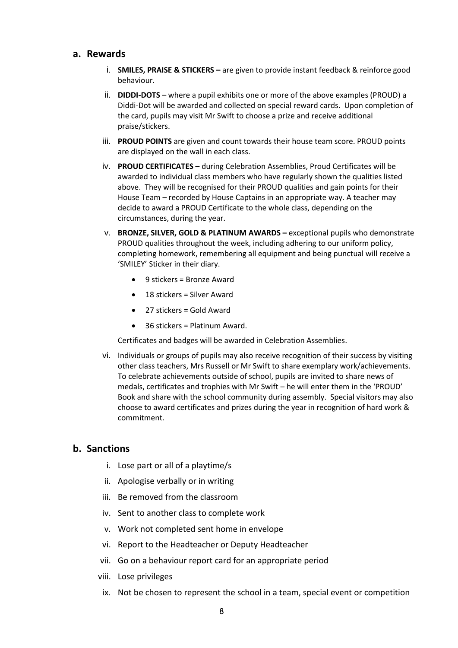#### **a. Rewards**

- i. **SMILES, PRAISE & STICKERS –** are given to provide instant feedback & reinforce good behaviour.
- ii. **DIDDI-DOTS**  where a pupil exhibits one or more of the above examples (PROUD) a Diddi-Dot will be awarded and collected on special reward cards. Upon completion of the card, pupils may visit Mr Swift to choose a prize and receive additional praise/stickers.
- iii. **PROUD POINTS** are given and count towards their house team score. PROUD points are displayed on the wall in each class.
- iv. **PROUD CERTIFICATES –** during Celebration Assemblies, Proud Certificates will be awarded to individual class members who have regularly shown the qualities listed above. They will be recognised for their PROUD qualities and gain points for their House Team – recorded by House Captains in an appropriate way. A teacher may decide to award a PROUD Certificate to the whole class, depending on the circumstances, during the year.
- v. **BRONZE, SILVER, GOLD & PLATINUM AWARDS –** exceptional pupils who demonstrate PROUD qualities throughout the week, including adhering to our uniform policy, completing homework, remembering all equipment and being punctual will receive a 'SMILEY' Sticker in their diary.
	- 9 stickers = Bronze Award
	- 18 stickers = Silver Award
	- 27 stickers = Gold Award
	- 36 stickers = Platinum Award.

Certificates and badges will be awarded in Celebration Assemblies.

vi. Individuals or groups of pupils may also receive recognition of their success by visiting other class teachers, Mrs Russell or Mr Swift to share exemplary work/achievements. To celebrate achievements outside of school, pupils are invited to share news of medals, certificates and trophies with Mr Swift – he will enter them in the 'PROUD' Book and share with the school community during assembly. Special visitors may also choose to award certificates and prizes during the year in recognition of hard work & commitment.

#### **b. Sanctions**

- i. Lose part or all of a playtime/s
- ii. Apologise verbally or in writing
- iii. Be removed from the classroom
- iv. Sent to another class to complete work
- v. Work not completed sent home in envelope
- vi. Report to the Headteacher or Deputy Headteacher
- vii. Go on a behaviour report card for an appropriate period
- viii. Lose privileges
- ix. Not be chosen to represent the school in a team, special event or competition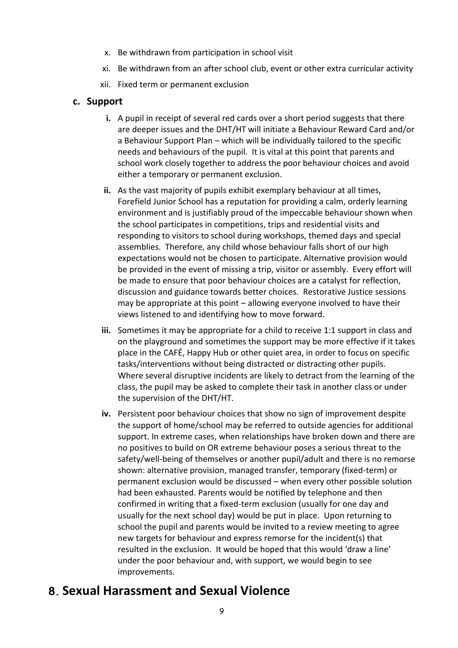- x. Be withdrawn from participation in school visit
- xi. Be withdrawn from an after school club, event or other extra curricular activity
- xii. Fixed term or permanent exclusion

#### **c. Support**

- **i.** A pupil in receipt of several red cards over a short period suggests that there are deeper issues and the DHT/HT will initiate a Behaviour Reward Card and/or a Behaviour Support Plan – which will be individually tailored to the specific needs and behaviours of the pupil. It is vital at this point that parents and school work closely together to address the poor behaviour choices and avoid either a temporary or permanent exclusion.
- **ii.** As the vast majority of pupils exhibit exemplary behaviour at all times, Forefield Junior School has a reputation for providing a calm, orderly learning environment and is justifiably proud of the impeccable behaviour shown when the school participates in competitions, trips and residential visits and responding to visitors to school during workshops, themed days and special assemblies. Therefore, any child whose behaviour falls short of our high expectations would not be chosen to participate. Alternative provision would be provided in the event of missing a trip, visitor or assembly. Every effort will be made to ensure that poor behaviour choices are a catalyst for reflection, discussion and guidance towards better choices. Restorative Justice sessions may be appropriate at this point – allowing everyone involved to have their views listened to and identifying how to move forward.
- **iii.** Sometimes it may be appropriate for a child to receive 1:1 support in class and on the playground and sometimes the support may be more effective if it takes place in the CAFÉ, Happy Hub or other quiet area, in order to focus on specific tasks/interventions without being distracted or distracting other pupils. Where several disruptive incidents are likely to detract from the learning of the class, the pupil may be asked to complete their task in another class or under the supervision of the DHT/HT.
- **iv.** Persistent poor behaviour choices that show no sign of improvement despite the support of home/school may be referred to outside agencies for additional support. In extreme cases, when relationships have broken down and there are no positives to build on OR extreme behaviour poses a serious threat to the safety/well-being of themselves or another pupil/adult and there is no remorse shown: alternative provision, managed transfer, temporary (fixed-term) or permanent exclusion would be discussed – when every other possible solution had been exhausted. Parents would be notified by telephone and then confirmed in writing that a fixed-term exclusion (usually for one day and usually for the next school day) would be put in place. Upon returning to school the pupil and parents would be invited to a review meeting to agree new targets for behaviour and express remorse for the incident(s) that resulted in the exclusion. It would be hoped that this would 'draw a line' under the poor behaviour and, with support, we would begin to see improvements.

## **8. Sexual Harassment and Sexual Violence**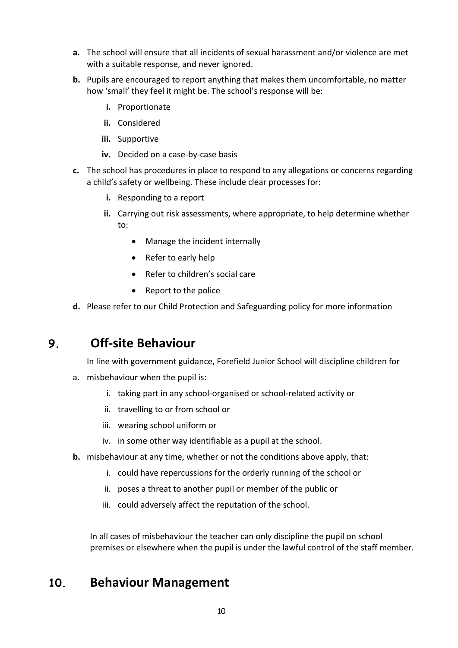- **a.** The school will ensure that all incidents of sexual harassment and/or violence are met with a suitable response, and never ignored.
- **b.** Pupils are encouraged to report anything that makes them uncomfortable, no matter how 'small' they feel it might be. The school's response will be:
	- **i.** Proportionate
	- **ii.** Considered
	- **iii.** Supportive
	- **iv.** Decided on a case-by-case basis
- **c.** The school has procedures in place to respond to any allegations or concerns regarding a child's safety or wellbeing. These include clear processes for:
	- **i.** Responding to a report
	- **ii.** Carrying out risk assessments, where appropriate, to help determine whether to:
		- Manage the incident internally
		- Refer to early help
		- Refer to children's social care
		- Report to the police
- **d.** Please refer to our Child Protection and Safeguarding policy for more information

## **9. Off-site Behaviour**

In line with government guidance, Forefield Junior School will discipline children for

- a. misbehaviour when the pupil is:
	- i. taking part in any school-organised or school-related activity or
	- ii. travelling to or from school or
	- iii. wearing school uniform or
	- iv. in some other way identifiable as a pupil at the school.
- **b.** misbehaviour at any time, whether or not the conditions above apply, that:
	- i. could have repercussions for the orderly running of the school or
	- ii. poses a threat to another pupil or member of the public or
	- iii. could adversely affect the reputation of the school.

In all cases of misbehaviour the teacher can only discipline the pupil on school premises or elsewhere when the pupil is under the lawful control of the staff member.

### **10. Behaviour Management**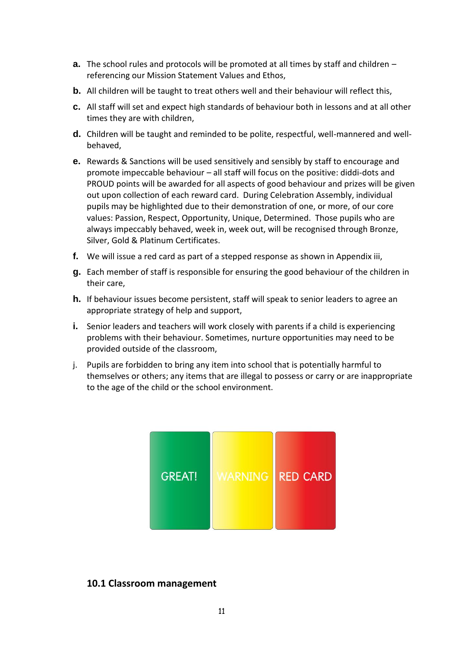- **a.** The school rules and protocols will be promoted at all times by staff and children referencing our Mission Statement Values and Ethos,
- **b.** All children will be taught to treat others well and their behaviour will reflect this,
- **c.** All staff will set and expect high standards of behaviour both in lessons and at all other times they are with children,
- **d.** Children will be taught and reminded to be polite, respectful, well-mannered and wellbehaved,
- **e.** Rewards & Sanctions will be used sensitively and sensibly by staff to encourage and promote impeccable behaviour – all staff will focus on the positive: diddi-dots and PROUD points will be awarded for all aspects of good behaviour and prizes will be given out upon collection of each reward card. During Celebration Assembly, individual pupils may be highlighted due to their demonstration of one, or more, of our core values: Passion, Respect, Opportunity, Unique, Determined. Those pupils who are always impeccably behaved, week in, week out, will be recognised through Bronze, Silver, Gold & Platinum Certificates.
- **f.** We will issue a red card as part of a stepped response as shown in Appendix iii,
- **g.** Each member of staff is responsible for ensuring the good behaviour of the children in their care,
- **h.** If behaviour issues become persistent, staff will speak to senior leaders to agree an appropriate strategy of help and support,
- **i.** Senior leaders and teachers will work closely with parents if a child is experiencing problems with their behaviour. Sometimes, nurture opportunities may need to be provided outside of the classroom,
- j. Pupils are forbidden to bring any item into school that is potentially harmful to themselves or others; any items that are illegal to possess or carry or are inappropriate to the age of the child or the school environment.



#### **10.1 Classroom management**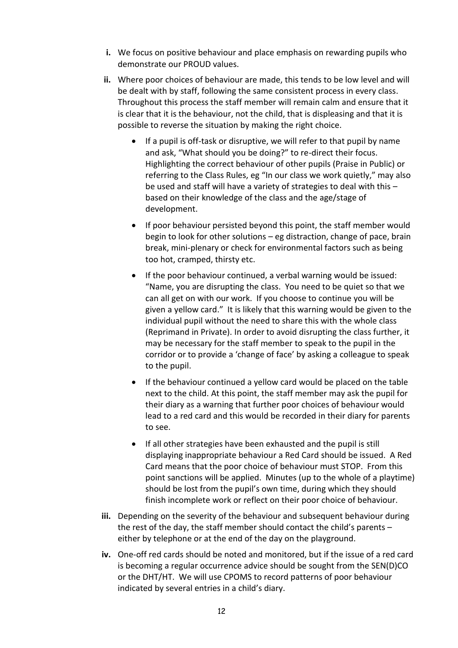- **i.** We focus on positive behaviour and place emphasis on rewarding pupils who demonstrate our PROUD values.
- **ii.** Where poor choices of behaviour are made, this tends to be low level and will be dealt with by staff, following the same consistent process in every class. Throughout this process the staff member will remain calm and ensure that it is clear that it is the behaviour, not the child, that is displeasing and that it is possible to reverse the situation by making the right choice.
	- If a pupil is off-task or disruptive, we will refer to that pupil by name and ask, "What should you be doing?" to re-direct their focus. Highlighting the correct behaviour of other pupils (Praise in Public) or referring to the Class Rules, eg "In our class we work quietly," may also be used and staff will have a variety of strategies to deal with this – based on their knowledge of the class and the age/stage of development.
	- If poor behaviour persisted beyond this point, the staff member would begin to look for other solutions – eg distraction, change of pace, brain break, mini-plenary or check for environmental factors such as being too hot, cramped, thirsty etc.
	- If the poor behaviour continued, a verbal warning would be issued: "Name, you are disrupting the class. You need to be quiet so that we can all get on with our work. If you choose to continue you will be given a yellow card." It is likely that this warning would be given to the individual pupil without the need to share this with the whole class (Reprimand in Private). In order to avoid disrupting the class further, it may be necessary for the staff member to speak to the pupil in the corridor or to provide a 'change of face' by asking a colleague to speak to the pupil.
	- If the behaviour continued a yellow card would be placed on the table next to the child. At this point, the staff member may ask the pupil for their diary as a warning that further poor choices of behaviour would lead to a red card and this would be recorded in their diary for parents to see.
	- If all other strategies have been exhausted and the pupil is still displaying inappropriate behaviour a Red Card should be issued. A Red Card means that the poor choice of behaviour must STOP. From this point sanctions will be applied. Minutes (up to the whole of a playtime) should be lost from the pupil's own time, during which they should finish incomplete work or reflect on their poor choice of behaviour.
- **iii.** Depending on the severity of the behaviour and subsequent behaviour during the rest of the day, the staff member should contact the child's parents – either by telephone or at the end of the day on the playground.
- **iv.** One-off red cards should be noted and monitored, but if the issue of a red card is becoming a regular occurrence advice should be sought from the SEN(D)CO or the DHT/HT. We will use CPOMS to record patterns of poor behaviour indicated by several entries in a child's diary.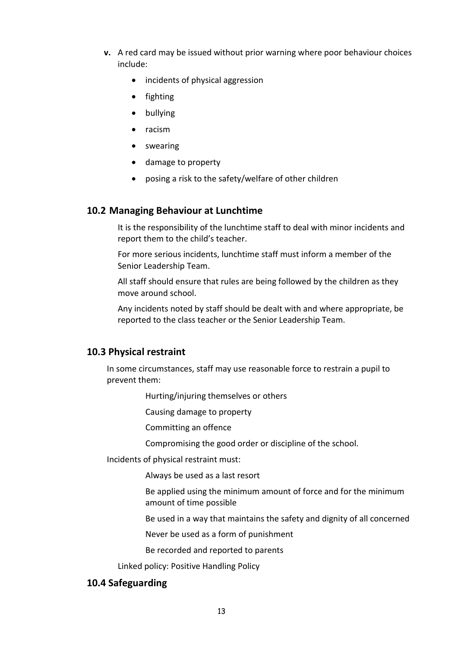- **v.** A red card may be issued without prior warning where poor behaviour choices include:
	- incidents of physical aggression
	- fighting
	- bullying
	- racism
	- swearing
	- damage to property
	- posing a risk to the safety/welfare of other children

#### **10.2 Managing Behaviour at Lunchtime**

It is the responsibility of the lunchtime staff to deal with minor incidents and report them to the child's teacher.

For more serious incidents, lunchtime staff must inform a member of the Senior Leadership Team.

All staff should ensure that rules are being followed by the children as they move around school.

Any incidents noted by staff should be dealt with and where appropriate, be reported to the class teacher or the Senior Leadership Team.

#### **10.3 Physical restraint**

In some circumstances, staff may use reasonable force to restrain a pupil to prevent them:

Hurting/injuring themselves or others

Causing damage to property

Committing an offence

Compromising the good order or discipline of the school.

Incidents of physical restraint must:

Always be used as a last resort

Be applied using the minimum amount of force and for the minimum amount of time possible

Be used in a way that maintains the safety and dignity of all concerned

Never be used as a form of punishment

Be recorded and reported to parents

Linked policy: Positive Handling Policy

#### **10.4 Safeguarding**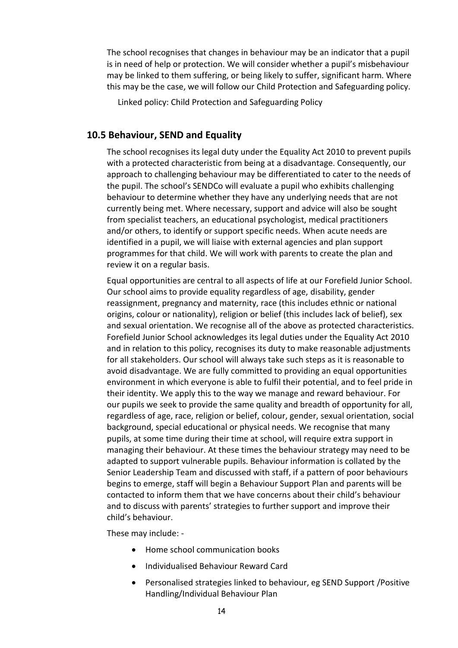The school recognises that changes in behaviour may be an indicator that a pupil is in need of help or protection. We will consider whether a pupil's misbehaviour may be linked to them suffering, or being likely to suffer, significant harm. Where this may be the case, we will follow our Child Protection and Safeguarding policy.

Linked policy: Child Protection and Safeguarding Policy

#### **10.5 Behaviour, SEND and Equality**

The school recognises its legal duty under the Equality Act 2010 to prevent pupils with a protected characteristic from being at a disadvantage. Consequently, our approach to challenging behaviour may be differentiated to cater to the needs of the pupil. The school's SENDCo will evaluate a pupil who exhibits challenging behaviour to determine whether they have any underlying needs that are not currently being met. Where necessary, support and advice will also be sought from specialist teachers, an educational psychologist, medical practitioners and/or others, to identify or support specific needs. When acute needs are identified in a pupil, we will liaise with external agencies and plan support programmes for that child. We will work with parents to create the plan and review it on a regular basis.

Equal opportunities are central to all aspects of life at our Forefield Junior School. Our school aims to provide equality regardless of age, disability, gender reassignment, pregnancy and maternity, race (this includes ethnic or national origins, colour or nationality), religion or belief (this includes lack of belief), sex and sexual orientation. We recognise all of the above as protected characteristics. Forefield Junior School acknowledges its legal duties under the Equality Act 2010 and in relation to this policy, recognises its duty to make reasonable adjustments for all stakeholders. Our school will always take such steps as it is reasonable to avoid disadvantage. We are fully committed to providing an equal opportunities environment in which everyone is able to fulfil their potential, and to feel pride in their identity. We apply this to the way we manage and reward behaviour. For our pupils we seek to provide the same quality and breadth of opportunity for all, regardless of age, race, religion or belief, colour, gender, sexual orientation, social background, special educational or physical needs. We recognise that many pupils, at some time during their time at school, will require extra support in managing their behaviour. At these times the behaviour strategy may need to be adapted to support vulnerable pupils. Behaviour information is collated by the Senior Leadership Team and discussed with staff, if a pattern of poor behaviours begins to emerge, staff will begin a Behaviour Support Plan and parents will be contacted to inform them that we have concerns about their child's behaviour and to discuss with parents' strategies to further support and improve their child's behaviour.

These may include: -

- Home school communication books
- Individualised Behaviour Reward Card
- Personalised strategies linked to behaviour, eg SEND Support /Positive Handling/Individual Behaviour Plan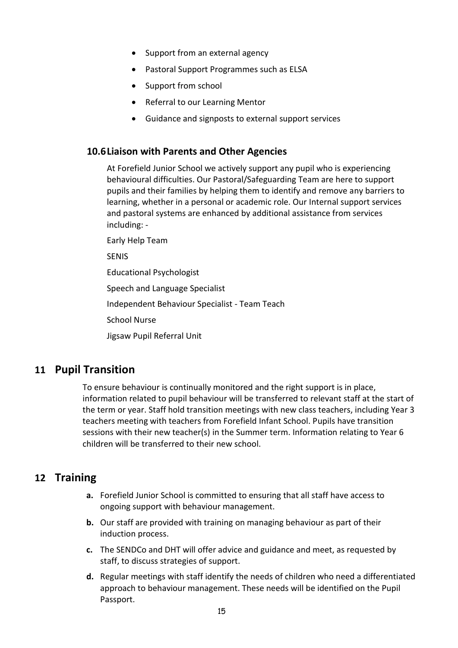- Support from an external agency
- Pastoral Support Programmes such as ELSA
- Support from school
- Referral to our Learning Mentor
- Guidance and signposts to external support services

#### **10.6Liaison with Parents and Other Agencies**

At Forefield Junior School we actively support any pupil who is experiencing behavioural difficulties. Our Pastoral/Safeguarding Team are here to support pupils and their families by helping them to identify and remove any barriers to learning, whether in a personal or academic role. Our Internal support services and pastoral systems are enhanced by additional assistance from services including: -

Early Help Team

SENIS

Educational Psychologist

Speech and Language Specialist

Independent Behaviour Specialist - Team Teach

School Nurse

Jigsaw Pupil Referral Unit

#### **11 Pupil Transition**

To ensure behaviour is continually monitored and the right support is in place, information related to pupil behaviour will be transferred to relevant staff at the start of the term or year. Staff hold transition meetings with new class teachers, including Year 3 teachers meeting with teachers from Forefield Infant School. Pupils have transition sessions with their new teacher(s) in the Summer term. Information relating to Year 6 children will be transferred to their new school.

#### **12 Training**

- **a.** Forefield Junior School is committed to ensuring that all staff have access to ongoing support with behaviour management.
- **b.** Our staff are provided with training on managing behaviour as part of their induction process.
- **c.** The SENDCo and DHT will offer advice and guidance and meet, as requested by staff, to discuss strategies of support.
- **d.** Regular meetings with staff identify the needs of children who need a differentiated approach to behaviour management. These needs will be identified on the Pupil Passport.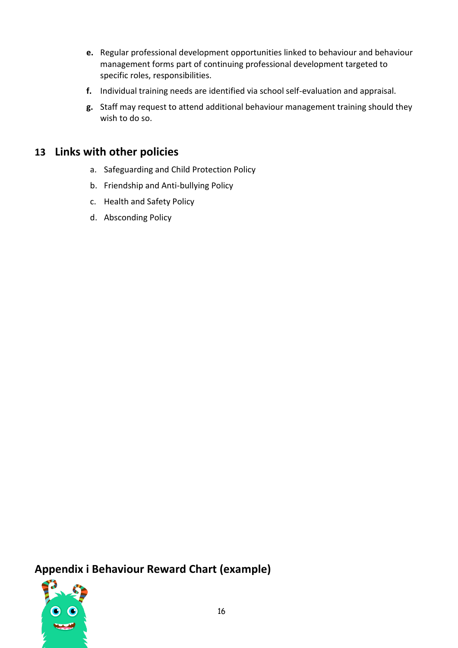- **e.** Regular professional development opportunities linked to behaviour and behaviour management forms part of continuing professional development targeted to specific roles, responsibilities.
- **f.** Individual training needs are identified via school self-evaluation and appraisal.
- **g.** Staff may request to attend additional behaviour management training should they wish to do so.

### **13 Links with other policies**

- a. Safeguarding and Child Protection Policy
- b. Friendship and Anti-bullying Policy
- c. Health and Safety Policy
- d. Absconding Policy

**Appendix i Behaviour Reward Chart (example)**

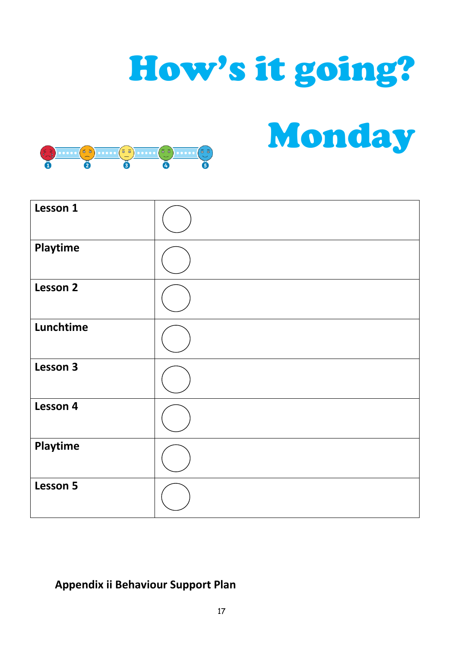## How's it going?

Monday



| Lesson 1        |  |
|-----------------|--|
| Playtime        |  |
| <b>Lesson 2</b> |  |
| Lunchtime       |  |
| Lesson 3        |  |
| Lesson 4        |  |
| Playtime        |  |
| Lesson 5        |  |

## **Appendix ii Behaviour Support Plan**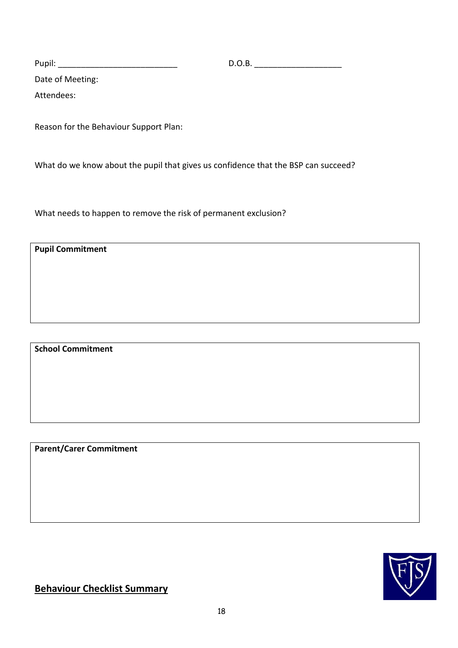Pupil: \_\_\_\_\_\_\_\_\_\_\_\_\_\_\_\_\_\_\_\_\_\_\_\_\_\_ D.O.B. \_\_\_\_\_\_\_\_\_\_\_\_\_\_\_\_\_\_\_

Date of Meeting:

Attendees:

Reason for the Behaviour Support Plan:

What do we know about the pupil that gives us confidence that the BSP can succeed?

What needs to happen to remove the risk of permanent exclusion?

**Pupil Commitment** 

**School Commitment**

**Parent/Carer Commitment**



**Behaviour Checklist Summary**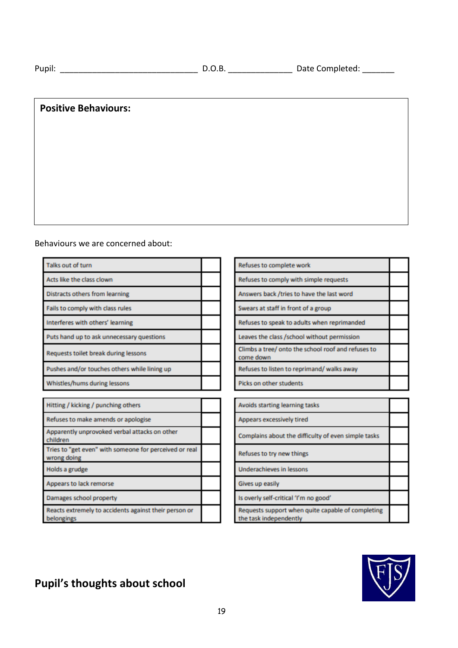| ۰. |
|----|
|----|

#### **Positive Behaviours:**

#### Behaviours we are concerned about:

| Talks out of turn                                                     |  |
|-----------------------------------------------------------------------|--|
| Acts like the class clown                                             |  |
| <b>Distracts others from learning</b>                                 |  |
| Fails to comply with class rules                                      |  |
| Interferes with others' learning                                      |  |
| Puts hand up to ask unnecessary questions                             |  |
| Requests toilet break during lessons                                  |  |
| Pushes and/or touches others while lining up                          |  |
| Whistles/hums during lessons                                          |  |
|                                                                       |  |
| Hitting / kicking / punching others                                   |  |
| Refuses to make amends or apologise                                   |  |
| Apparently unprovoked verbal attacks on other<br>children             |  |
| Tries to "get even" with someone for perceived or real<br>wrong doing |  |
|                                                                       |  |

| Refuses to complete work                                        |  |
|-----------------------------------------------------------------|--|
| Refuses to comply with simple requests                          |  |
| Answers back /tries to have the last word                       |  |
| Swears at staff in front of a group                             |  |
| Refuses to speak to adults when reprimanded                     |  |
| Leaves the class /school without permission                     |  |
| Climbs a tree/ onto the school roof and refuses to<br>come down |  |
| Refuses to listen to reprimand/ walks away                      |  |
| Picks on other students                                         |  |
|                                                                 |  |
| Avoids starting learning tasks                                  |  |
| Appears excessively tired                                       |  |
| Complains about the difficulty of even simple tasks             |  |
| Refuses to try new things                                       |  |
|                                                                 |  |

Underachieves in lessons

Gives up easily

Is overly self-critical 'I'm no good'

Requests support when quite capable of completing

the task independently



## **Pupil's thoughts about school**

Reacts extremely to accidents against their person or

Holds a grudge

belongings

Appears to lack remorse

Damages school property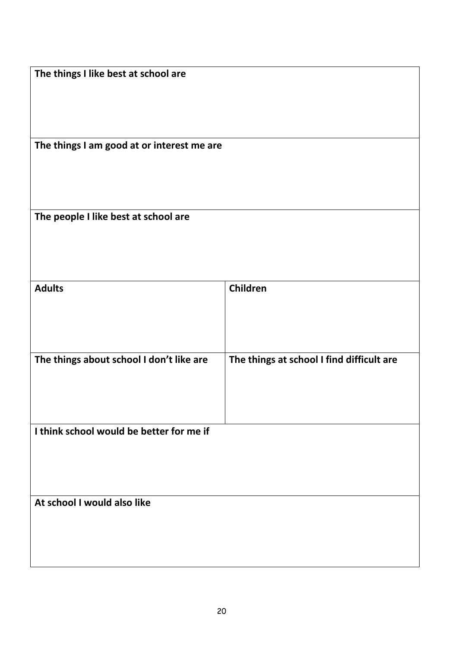| The things I like best at school are       |                                           |
|--------------------------------------------|-------------------------------------------|
|                                            |                                           |
| The things I am good at or interest me are |                                           |
| The people I like best at school are       |                                           |
| <b>Adults</b>                              | Children                                  |
| The things about school I don't like are   | The things at school I find difficult are |
| I think school would be better for me if   |                                           |
| At school I would also like                |                                           |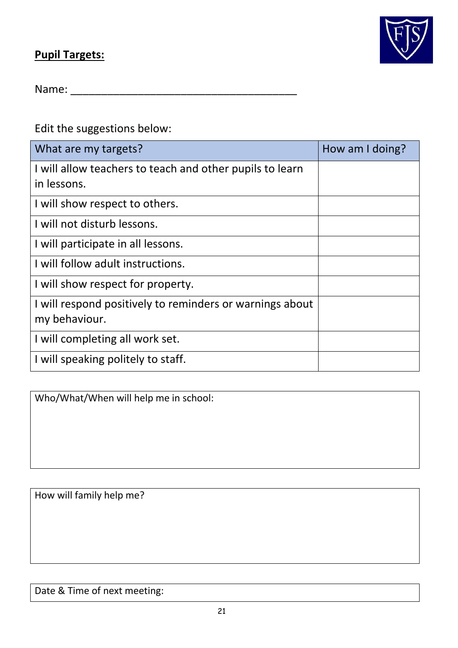## **Pupil Targets:**



Name: \_\_\_\_\_\_\_\_\_\_\_\_\_\_\_\_\_\_\_\_\_\_\_\_\_\_\_\_\_\_\_\_\_\_\_\_\_

Edit the suggestions below:

| What are my targets?                                     | How am I doing? |
|----------------------------------------------------------|-----------------|
| I will allow teachers to teach and other pupils to learn |                 |
| in lessons.                                              |                 |
| I will show respect to others.                           |                 |
| I will not disturb lessons.                              |                 |
| I will participate in all lessons.                       |                 |
| I will follow adult instructions.                        |                 |
| I will show respect for property.                        |                 |
| I will respond positively to reminders or warnings about |                 |
| my behaviour.                                            |                 |
| I will completing all work set.                          |                 |
| I will speaking politely to staff.                       |                 |

Who/What/When will help me in school:

How will family help me?

Date & Time of next meeting: